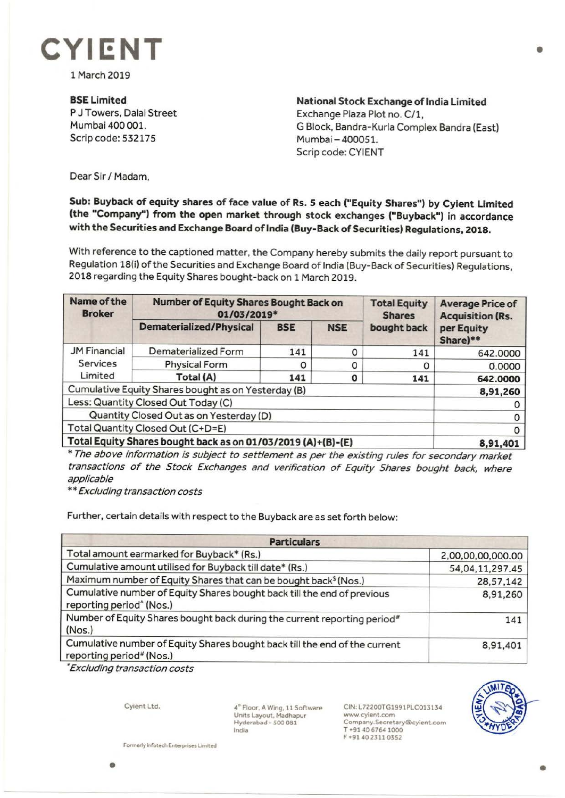

1 March 2019

**BSELimited**  P J Towers, Dalal Street Mumbai 400 001. Scrip code: 532175

**National Stock Exchange of India Limited** Exchange Plaza Plot no. C/1, G Block, Bandra-Kurla Complex Sandra (East) Mumbai - 400051. Scrip code: CYIENT

Dear Sir/ Madam,

## **Sub: Buyback of equity shares of face value of Rs. 5 each ("Equity Shares") by Cyient Limited (the "Company") from the open market through stock exchanges ("Buyback") in accordance with the Securities and Exchange Board of India (Buy-Back of Securities) Regulations, 2018.**

With reference to the captioned matter, the Company hereby submits the daily report pursuant to Regulation 18(i) of the Securities and Exchange Board of India (Buy-Back of Securities) Regulations, 2018 regarding the Equity Shares bought-back on 1 March 2019.

| Name of the<br><b>Broker</b>                                 | <b>Number of Equity Shares Bought Back on</b><br>01/03/2019* |            |            | <b>Total Equity</b><br><b>Shares</b> | <b>Average Price of</b><br><b>Acquisition (Rs.</b> |
|--------------------------------------------------------------|--------------------------------------------------------------|------------|------------|--------------------------------------|----------------------------------------------------|
|                                                              | <b>Dematerialized/Physical</b>                               | <b>BSE</b> | <b>NSE</b> | bought back                          | per Equity<br>Share)**                             |
| <b>JM Financial</b><br><b>Services</b><br>Limited            | Dematerialized Form                                          | 141        |            | 141                                  | 642.0000                                           |
|                                                              | <b>Physical Form</b>                                         | 0          |            | O                                    | 0.0000                                             |
|                                                              | Total (A)                                                    | 141        | Ο          | 141                                  | 642.0000                                           |
| Cumulative Equity Shares bought as on Yesterday (B)          |                                                              |            |            |                                      | 8,91,260                                           |
| Less: Quantity Closed Out Today (C)                          |                                                              |            |            |                                      |                                                    |
| Quantity Closed Out as on Yesterday (D)                      |                                                              |            |            |                                      |                                                    |
| Total Quantity Closed Out (C+D=E)                            |                                                              |            |            |                                      |                                                    |
| Total Equity Shares bought back as on 01/03/2019 (A)+(B)-(E) |                                                              |            |            |                                      | 8,91,401                                           |

\* The above information is subject to settlement as per the existing rules for secondary market transactions of the Stock Exchanges and verification of Equity Shares bought back, where applicable

\*\* Excluding transaction costs

Further, certain details with respect to the Buyback are as set forth below:

| <b>Particulars</b>                                                                                                 |                   |  |  |  |
|--------------------------------------------------------------------------------------------------------------------|-------------------|--|--|--|
| Total amount earmarked for Buyback* (Rs.)                                                                          | 2,00,00,00,000.00 |  |  |  |
| Cumulative amount utilised for Buyback till date* (Rs.)                                                            | 54,04,11,297.45   |  |  |  |
| Maximum number of Equity Shares that can be bought back <sup>\$</sup> (Nos.)                                       | 28,57,142         |  |  |  |
| Cumulative number of Equity Shares bought back till the end of previous<br>reporting period <sup>^</sup> (Nos.)    | 8,91,260          |  |  |  |
| Number of Equity Shares bought back during the current reporting period <sup>#</sup><br>(Nos.)                     | 141               |  |  |  |
| Cumulative number of Equity Shares bought back till the end of the current<br>reporting period <sup>#</sup> (Nos.) | 8,91,401          |  |  |  |

<sup>~</sup>Excluding transaction costs

Cyient Ltd.

**4~** Floor, A Wing, 11 Software Units Layout, Madhapur **Hyderabad** - 500 081 India

CIN:L72200TG1991PLC013134 www.cyient.com Company.Secretary®cyient.com T •91406764 1000 F •9140 23110352



•

Formerly Infotech Enterprises Limited